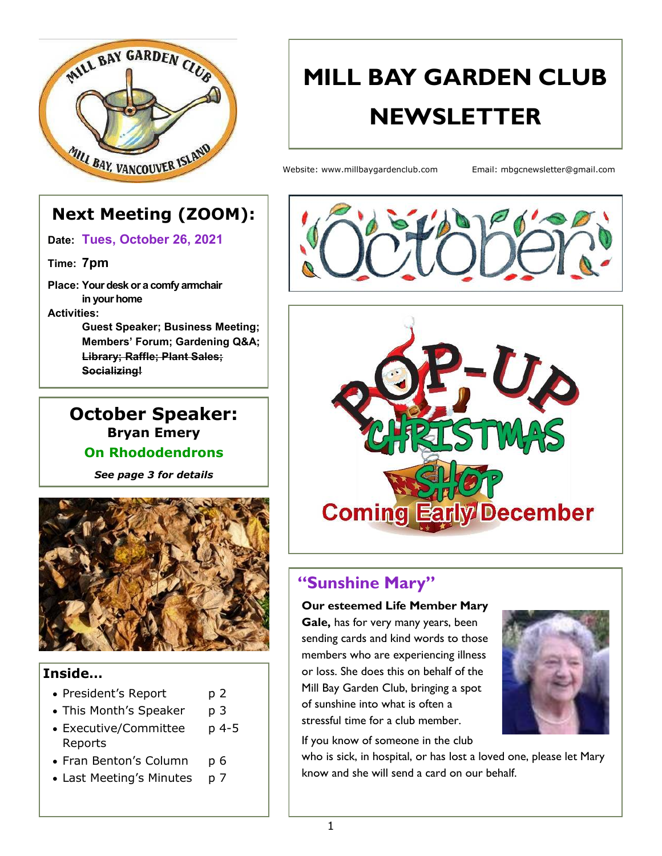

# **MILL BAY GARDEN CLUB NEWSLETTER**

Website: www.millbaygardenclub.com Email: mbgcnewsletter@gmail.com

# **Next Meeting (ZOOM):**

**Date: Tues, October 26, 2021**

**Time: 7pm**

**Place: Your desk or a comfy armchair in your home Activities:**

> **Guest Speaker; Business Meeting; Members' Forum; Gardening Q&A; Library; Raffle; Plant Sales; Socializing!**

### **October Speaker: Bryan Emery On Rhododendrons**

*See page 3 for details*



#### **Inside…**

- President's Report p 2
- This Month's Speaker p 3
- Executive/Committee p 4-5 Reports
- Fran Benton's Column p 6
- Last Meeting's Minutes p 7





# **"Sunshine Mary"**

**Our esteemed Life Member Mary** 

**Gale,** has for very many years, been sending cards and kind words to those members who are experiencing illness or loss. She does this on behalf of the Mill Bay Garden Club, bringing a spot of sunshine into what is often a stressful time for a club member.



If you know of someone in the club

who is sick, in hospital, or has lost a loved one, please let Mary know and she will send a card on our behalf.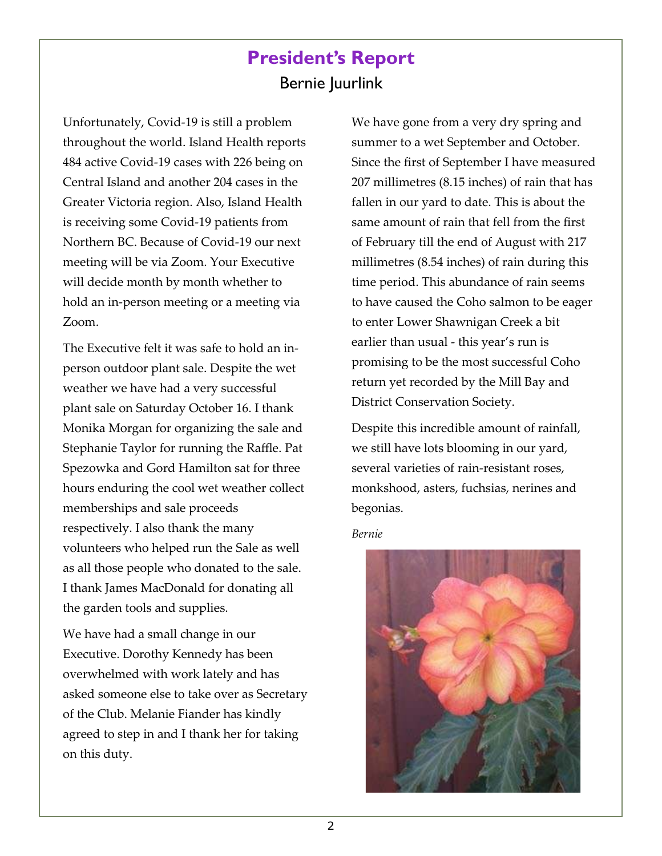# **President's Report** Bernie Juurlink

Unfortunately, Covid-19 is still a problem throughout the world. Island Health reports 484 active Covid-19 cases with 226 being on Central Island and another 204 cases in the Greater Victoria region. Also, Island Health is receiving some Covid-19 patients from Northern BC. Because of Covid-19 our next meeting will be via Zoom. Your Executive will decide month by month whether to hold an in-person meeting or a meeting via Zoom.

The Executive felt it was safe to hold an inperson outdoor plant sale. Despite the wet weather we have had a very successful plant sale on Saturday October 16. I thank Monika Morgan for organizing the sale and Stephanie Taylor for running the Raffle. Pat Spezowka and Gord Hamilton sat for three hours enduring the cool wet weather collect memberships and sale proceeds respectively. I also thank the many volunteers who helped run the Sale as well as all those people who donated to the sale. I thank James MacDonald for donating all the garden tools and supplies.

We have had a small change in our Executive. Dorothy Kennedy has been overwhelmed with work lately and has asked someone else to take over as Secretary of the Club. Melanie Fiander has kindly agreed to step in and I thank her for taking on this duty.

We have gone from a very dry spring and summer to a wet September and October. Since the first of September I have measured 207 millimetres (8.15 inches) of rain that has fallen in our yard to date. This is about the same amount of rain that fell from the first of February till the end of August with 217 millimetres (8.54 inches) of rain during this time period. This abundance of rain seems to have caused the Coho salmon to be eager to enter Lower Shawnigan Creek a bit earlier than usual - this year's run is promising to be the most successful Coho return yet recorded by the Mill Bay and District Conservation Society.

Despite this incredible amount of rainfall, we still have lots blooming in our yard, several varieties of rain-resistant roses, monkshood, asters, fuchsias, nerines and begonias.

*Bernie* 

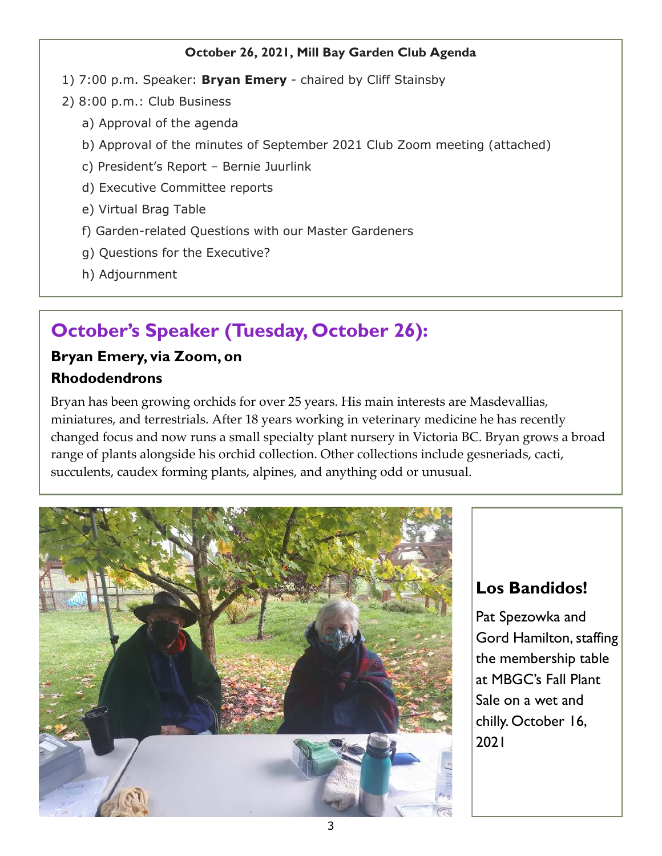#### **October 26, 2021, Mill Bay Garden Club Agenda**

- 1) 7:00 p.m. Speaker: **Bryan Emery**  chaired by Cliff Stainsby
- 2) 8:00 p.m.: Club Business
	- a) Approval of the agenda
	- b) Approval of the minutes of September 2021 Club Zoom meeting (attached)
	- c) President's Report Bernie Juurlink
	- d) Executive Committee reports
	- e) Virtual Brag Table
	- f) Garden-related Questions with our Master Gardeners
	- g) Questions for the Executive?
	- h) Adjournment

# **October's Speaker (Tuesday, October 26):**

### **Bryan Emery, via Zoom, on Rhododendrons**

Bryan has been growing orchids for over 25 years. His main interests are Masdevallias, miniatures, and terrestrials. After 18 years working in veterinary medicine he has recently changed focus and now runs a small specialty plant nursery in Victoria BC. Bryan grows a broad range of plants alongside his orchid collection. Other collections include gesneriads, cacti, succulents, caudex forming plants, alpines, and anything odd or unusual.



# **Los Bandidos!**

Pat Spezowka and Gord Hamilton, staffing the membership table at MBGC's Fall Plant Sale on a wet and chilly. October 16, 2021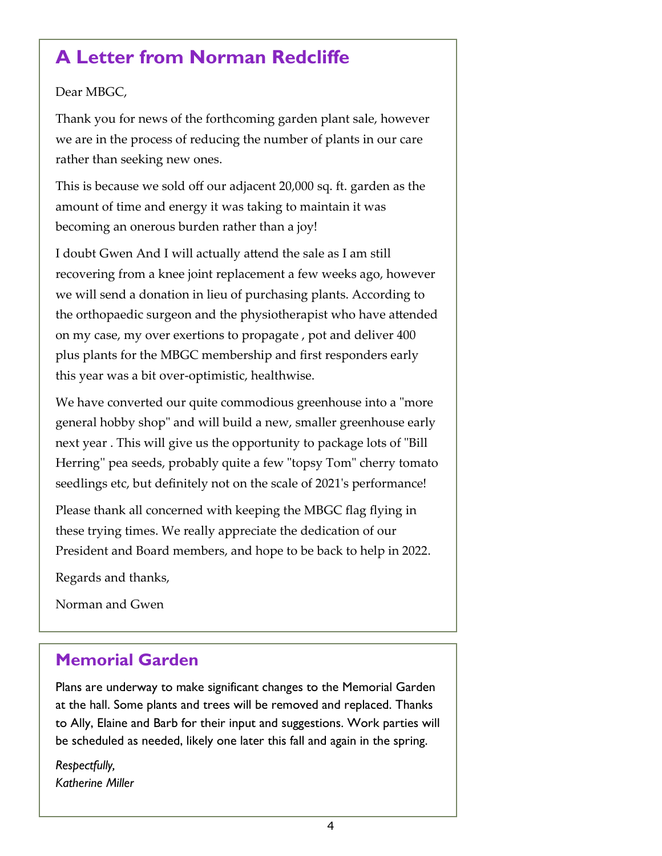# **A Letter from Norman Redcliffe**

#### Dear MBGC,

Thank you for news of the forthcoming garden plant sale, however we are in the process of reducing the number of plants in our care rather than seeking new ones.

This is because we sold off our adjacent 20,000 sq. ft. garden as the amount of time and energy it was taking to maintain it was becoming an onerous burden rather than a joy!

I doubt Gwen And I will actually attend the sale as I am still recovering from a knee joint replacement a few weeks ago, however we will send a donation in lieu of purchasing plants. According to the orthopaedic surgeon and the physiotherapist who have attended on my case, my over exertions to propagate , pot and deliver 400 plus plants for the MBGC membership and first responders early this year was a bit over-optimistic, healthwise.

We have converted our quite commodious greenhouse into a "more general hobby shop" and will build a new, smaller greenhouse early next year . This will give us the opportunity to package lots of "Bill Herring'' pea seeds, probably quite a few "topsy Tom" cherry tomato seedlings etc, but definitely not on the scale of 2021's performance!

Please thank all concerned with keeping the MBGC flag flying in these trying times. We really appreciate the dedication of our President and Board members, and hope to be back to help in 2022.

Regards and thanks,

Norman and Gwen

# **Memorial Garden**

Plans are underway to make significant changes to the Memorial Garden at the hall. Some plants and trees will be removed and replaced. Thanks to Ally, Elaine and Barb for their input and suggestions. Work parties will be scheduled as needed, likely one later this fall and again in the spring.

*Respectfully, Katherine Miller*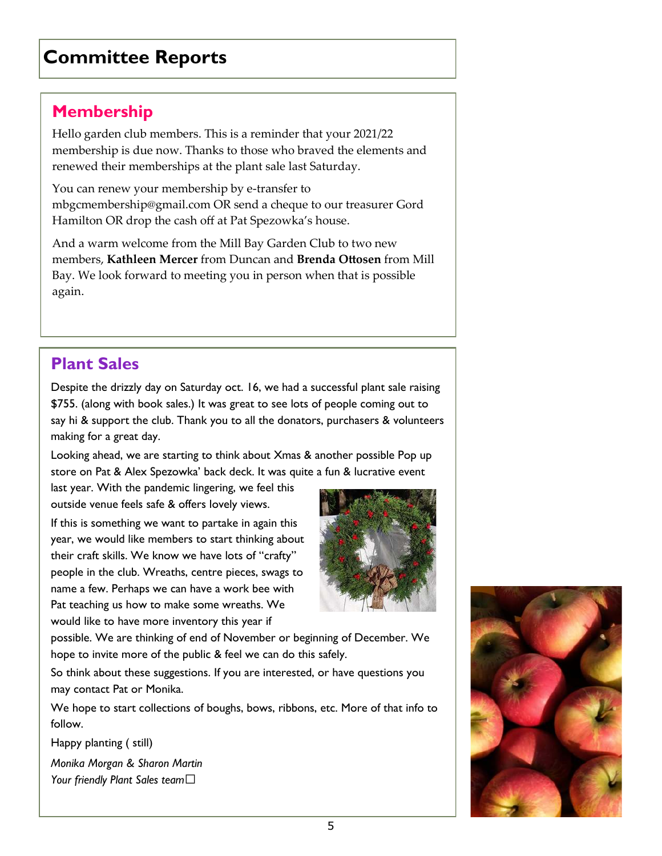# **Committee Reports**

### **Membership**

Hello garden club members. This is a reminder that your 2021/22 membership is due now. Thanks to those who braved the elements and renewed their memberships at the plant sale last Saturday.

You can renew your membership by e-transfer to mbgcmembership@gmail.com OR send a cheque to our treasurer Gord Hamilton OR drop the cash off at Pat Spezowka's house.

And a warm welcome from the Mill Bay Garden Club to two new members, **Kathleen Mercer** from Duncan and **Brenda Ottosen** from Mill Bay. We look forward to meeting you in person when that is possible again.

# **Plant Sales**

Despite the drizzly day on Saturday oct. 16, we had a successful plant sale raising \$755. (along with book sales.) It was great to see lots of people coming out to say hi & support the club. Thank you to all the donators, purchasers & volunteers making for a great day.

Looking ahead, we are starting to think about Xmas & another possible Pop up store on Pat & Alex Spezowka' back deck. It was quite a fun & lucrative event

last year. With the pandemic lingering, we feel this outside venue feels safe & offers lovely views.

If this is something we want to partake in again this year, we would like members to start thinking about their craft skills. We know we have lots of "crafty" people in the club. Wreaths, centre pieces, swags to name a few. Perhaps we can have a work bee with Pat teaching us how to make some wreaths. We would like to have more inventory this year if



possible. We are thinking of end of November or beginning of December. We hope to invite more of the public & feel we can do this safely.

So think about these suggestions. If you are interested, or have questions you may contact Pat or Monika.

We hope to start collections of boughs, bows, ribbons, etc. More of that info to follow.

Happy planting ( still)

*Monika Morgan & Sharon Martin Your friendly Plant Sales team*

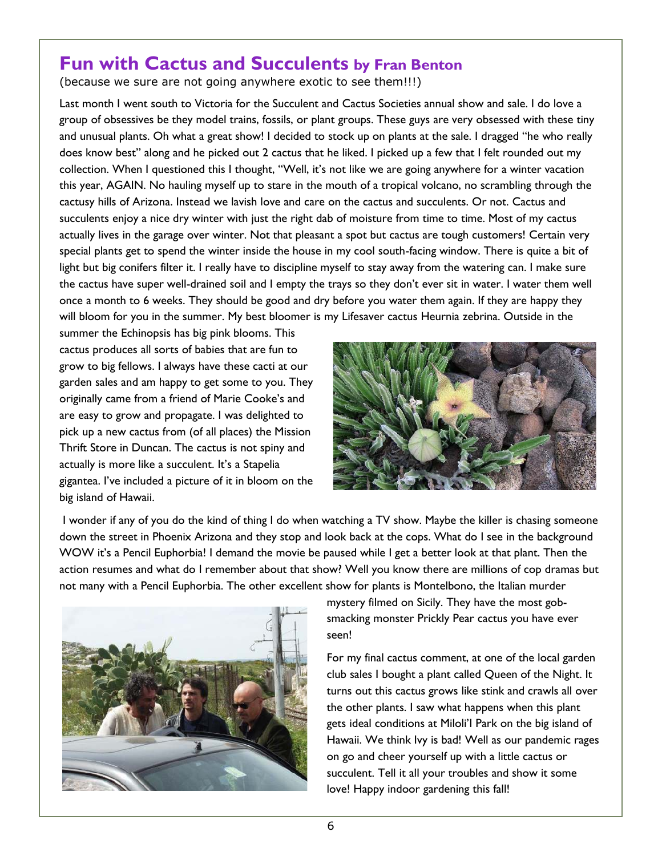# **Fun with Cactus and Succulents by Fran Benton**

(because we sure are not going anywhere exotic to see them!!!)

Last month I went south to Victoria for the Succulent and Cactus Societies annual show and sale. I do love a group of obsessives be they model trains, fossils, or plant groups. These guys are very obsessed with these tiny and unusual plants. Oh what a great show! I decided to stock up on plants at the sale. I dragged "he who really does know best" along and he picked out 2 cactus that he liked. I picked up a few that I felt rounded out my collection. When I questioned this I thought, "Well, it's not like we are going anywhere for a winter vacation this year, AGAIN. No hauling myself up to stare in the mouth of a tropical volcano, no scrambling through the cactusy hills of Arizona. Instead we lavish love and care on the cactus and succulents. Or not. Cactus and succulents enjoy a nice dry winter with just the right dab of moisture from time to time. Most of my cactus actually lives in the garage over winter. Not that pleasant a spot but cactus are tough customers! Certain very special plants get to spend the winter inside the house in my cool south-facing window. There is quite a bit of light but big conifers filter it. I really have to discipline myself to stay away from the watering can. I make sure the cactus have super well-drained soil and I empty the trays so they don't ever sit in water. I water them well once a month to 6 weeks. They should be good and dry before you water them again. If they are happy they will bloom for you in the summer. My best bloomer is my Lifesaver cactus Heurnia zebrina. Outside in the

summer the Echinopsis has big pink blooms. This cactus produces all sorts of babies that are fun to grow to big fellows. I always have these cacti at our garden sales and am happy to get some to you. They originally came from a friend of Marie Cooke's and are easy to grow and propagate. I was delighted to pick up a new cactus from (of all places) the Mission Thrift Store in Duncan. The cactus is not spiny and actually is more like a succulent. It's a Stapelia gigantea. I've included a picture of it in bloom on the big island of Hawaii.



 I wonder if any of you do the kind of thing I do when watching a TV show. Maybe the killer is chasing someone down the street in Phoenix Arizona and they stop and look back at the cops. What do I see in the background WOW it's a Pencil Euphorbia! I demand the movie be paused while I get a better look at that plant. Then the action resumes and what do I remember about that show? Well you know there are millions of cop dramas but not many with a Pencil Euphorbia. The other excellent show for plants is Montelbono, the Italian murder



mystery filmed on Sicily. They have the most gobsmacking monster Prickly Pear cactus you have ever seen!

For my final cactus comment, at one of the local garden club sales I bought a plant called Queen of the Night. It turns out this cactus grows like stink and crawls all over the other plants. I saw what happens when this plant gets ideal conditions at Miloli'I Park on the big island of Hawaii. We think Ivy is bad! Well as our pandemic rages on go and cheer yourself up with a little cactus or succulent. Tell it all your troubles and show it some love! Happy indoor gardening this fall!